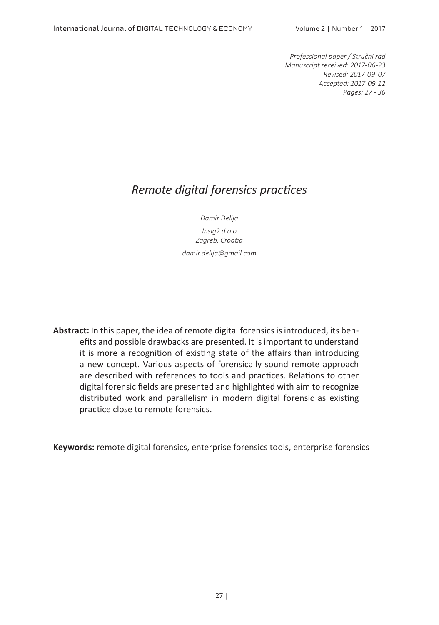*Professional paper / Stručni rad Manuscript received: 2017-06-23 Revised: 2017-09-07 Accepted: 2017-09-12 Pages: 27 - 36*

### *Remote digital forensics practices*

*Damir Delija Insig2 d.o.o*

*Zagreb, Croatia damir.delija@gmail.com*

**Abstract:** In this paper, the idea of remote digital forensics is introduced, its benefits and possible drawbacks are presented. It is important to understand it is more a recognition of existing state of the affairs than introducing a new concept. Various aspects of forensically sound remote approach are described with references to tools and practices. Relations to other digital forensic fields are presented and highlighted with aim to recognize distributed work and parallelism in modern digital forensic as existing practice close to remote forensics.

**Keywords:** remote digital forensics, enterprise forensics tools, enterprise forensics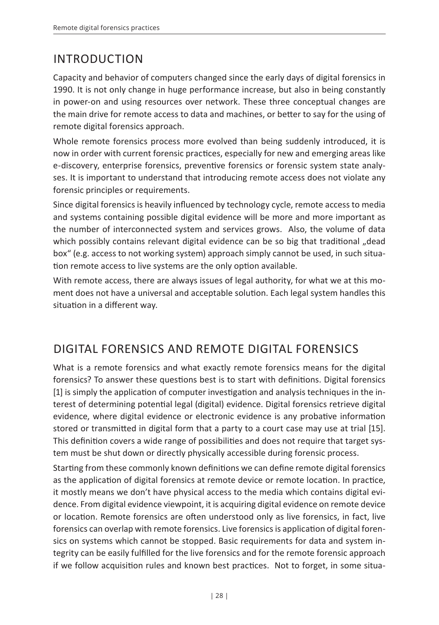# INTRODUCTION

Capacity and behavior of computers changed since the early days of digital forensics in 1990. It is not only change in huge performance increase, but also in being constantly in power-on and using resources over network. These three conceptual changes are the main drive for remote access to data and machines, or better to say for the using of remote digital forensics approach.

Whole remote forensics process more evolved than being suddenly introduced, it is now in order with current forensic practices, especially for new and emerging areas like e-discovery, enterprise forensics, preventive forensics or forensic system state analyses. It is important to understand that introducing remote access does not violate any forensic principles or requirements.

Since digital forensics is heavily influenced by technology cycle, remote access to media and systems containing possible digital evidence will be more and more important as the number of interconnected system and services grows. Also, the volume of data which possibly contains relevant digital evidence can be so big that traditional "dead box" (e.g. access to not working system) approach simply cannot be used, in such situation remote access to live systems are the only option available.

With remote access, there are always issues of legal authority, for what we at this moment does not have a universal and acceptable solution. Each legal system handles this situation in a different way.

# DIGITAL FORENSICS AND REMOTE DIGITAL FORENSICS

What is a remote forensics and what exactly remote forensics means for the digital forensics? To answer these questions best is to start with definitions. Digital forensics [1] is simply the application of computer investigation and analysis techniques in the interest of determining potential legal (digital) evidence. Digital forensics retrieve digital evidence, where digital evidence or electronic evidence is any probative information stored or transmitted in digital form that a party to a court case may use at trial [15]. This definition covers a wide range of possibilities and does not require that target system must be shut down or directly physically accessible during forensic process.

Starting from these commonly known definitions we can define remote digital forensics as the application of digital forensics at remote device or remote location. In practice, it mostly means we don't have physical access to the media which contains digital evidence. From digital evidence viewpoint, it is acquiring digital evidence on remote device or location. Remote forensics are often understood only as live forensics, in fact, live forensics can overlap with remote forensics. Live forensics is application of digital forensics on systems which cannot be stopped. Basic requirements for data and system integrity can be easily fulfilled for the live forensics and for the remote forensic approach if we follow acquisition rules and known best practices. Not to forget, in some situa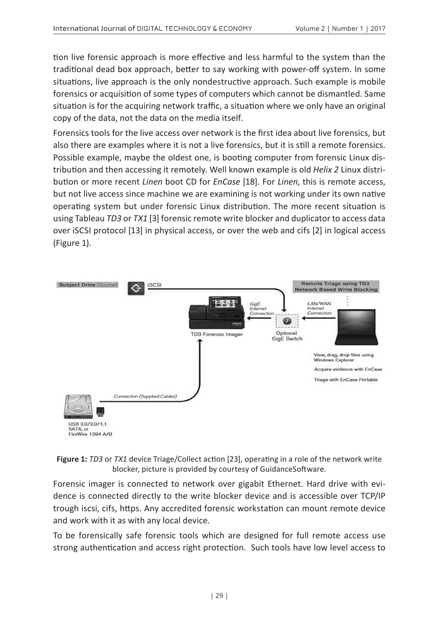tion live forensic approach is more effective and less harmful to the system than the traditional dead box approach, better to say working with power-off system. In some situations, live approach is the only nondestructive approach. Such example is mobile forensics or acquisition of some types of computers which cannot be dismantled. Same situation is for the acquiring network traffic, a situation where we only have an original copy of the data, not the data on the media itself.

Forensics tools for the live access over network is the first idea about live forensics, but also there are examples where it is not a live forensics, but it is still a remote forensics. Possible example, maybe the oldest one, is booting computer from forensic Linux distribution and then accessing it remotely. Well known example is old *Helix 2* Linux distribution or more recent *Linen* boot CD for *EnCase* [18]. For *Linen*, this is remote access, but not live access since machine we are examining is not working under its own native operating system but under forensic Linux distribution. The more recent situation is using Tableau *TD3* or *TX1* [3] forensic remote write blocker and duplicator to access data over iSCSI protocol [13] in physical access, or over the web and cifs [2] in logical access (Figure 1).





Forensic imager is connected to network over gigabit Ethernet. Hard drive with evidence is connected directly to the write blocker device and is accessible over TCP/IP trough iscsi, cifs, https. Any accredited forensic workstation can mount remote device and work with it as with any local device.

To be forensically safe forensic tools which are designed for full remote access use strong authentication and access right protection. Such tools have low level access to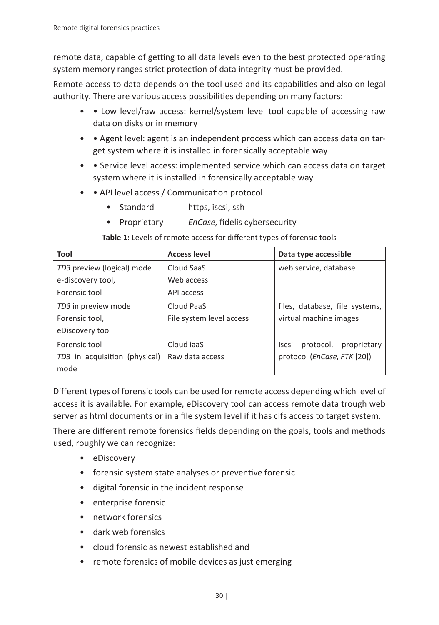remote data, capable of getting to all data levels even to the best protected operating system memory ranges strict protection of data integrity must be provided.

Remote access to data depends on the tool used and its capabilities and also on legal authority. There are various access possibilities depending on many factors:

- • Low level/raw access: kernel/system level tool capable of accessing raw data on disks or in memory
- • Agent level: agent is an independent process which can access data on target system where it is installed in forensically acceptable way
- • Service level access: implemented service which can access data on target system where it is installed in forensically acceptable way
- • API level access / Communication protocol
	- Standard https, iscsi, ssh
	- Proprietary *EnCase*, fidelis cybersecurity

**Table 1:** Levels of remote access for different types of forensic tools

| Tool                          | <b>Access level</b>      | Data type accessible                     |
|-------------------------------|--------------------------|------------------------------------------|
| TD3 preview (logical) mode    | Cloud SaaS               | web service, database                    |
| e-discovery tool,             | Web access               |                                          |
| Forensic tool                 | API access               |                                          |
| TD3 in preview mode           | Cloud PaaS               | files, database, file systems,           |
| Forensic tool.                | File system level access | virtual machine images                   |
| eDiscovery tool               |                          |                                          |
| Forensic tool                 | Cloud jaaS               | protocol,<br>proprietary<br><b>Iscsi</b> |
| TD3 in acquisition (physical) | Raw data access          | protocol (EnCase, FTK [20])              |
| mode                          |                          |                                          |

Different types of forensic tools can be used for remote access depending which level of access it is available. For example, eDiscovery tool can access remote data trough web server as html documents or in a file system level if it has cifs access to target system.

There are different remote forensics fields depending on the goals, tools and methods used, roughly we can recognize:

- eDiscovery
- forensic system state analyses or preventive forensic
- digital forensic in the incident response
- enterprise forensic
- network forensics
- dark web forensics
- cloud forensic as newest established and
- remote forensics of mobile devices as just emerging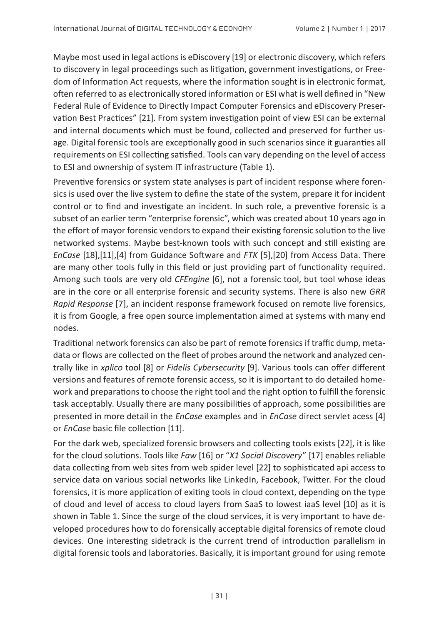Maybe most used in legal actions is eDiscovery [19] or electronic discovery, which refers to discovery in legal proceedings such as litigation, government investigations, or Freedom of Information Act requests, where the information sought is in electronic format, often referred to as electronically stored information or ESI what is well defined in "New Federal Rule of Evidence to Directly Impact Computer Forensics and eDiscovery Preservation Best Practices" [21]. From system investigation point of view ESI can be external and internal documents which must be found, collected and preserved for further usage. Digital forensic tools are exceptionally good in such scenarios since it guaranties all requirements on ESI collecting satisfied. Tools can vary depending on the level of access to ESI and ownership of system IT infrastructure (Table 1).

Preventive forensics or system state analyses is part of incident response where forensics is used over the live system to define the state of the system, prepare it for incident control or to find and investigate an incident. In such role, a preventive forensic is a subset of an earlier term "enterprise forensic", which was created about 10 years ago in the effort of mayor forensic vendors to expand their existing forensic solution to the live networked systems. Maybe best-known tools with such concept and still existing are *EnCase* [18],[11],[4] from Guidance Software and *FTK* [5],[20] from Access Data. There are many other tools fully in this field or just providing part of functionality required. Among such tools are very old *CFEngine* [6], not a forensic tool, but tool whose ideas are in the core or all enterprise forensic and security systems. There is also new *GRR Rapid Response* [7], an incident response framework focused on remote live forensics, it is from Google, a free open source implementation aimed at systems with many end nodes.

Traditional network forensics can also be part of remote forensics if traffic dump, metadata or flows are collected on the fleet of probes around the network and analyzed centrally like in *xplico* tool [8] or *Fidelis Cybersecurity* [9]. Various tools can offer different versions and features of remote forensic access, so it is important to do detailed homework and preparations to choose the right tool and the right option to fulfill the forensic task acceptably. Usually there are many possibilities of approach, some possibilities are presented in more detail in the *EnCase* examples and in *EnCase* direct servlet acess [4] or *EnCase* basic file collection [11].

For the dark web, specialized forensic browsers and collecting tools exists [22], it is like for the cloud solutions. Tools like *Faw* [16] or "*X1 Social Discovery*" [17] enables reliable data collecting from web sites from web spider level [22] to sophisticated api access to service data on various social networks like LinkedIn, Facebook, Twitter. For the cloud forensics, it is more application of exiting tools in cloud context, depending on the type of cloud and level of access to cloud layers from SaaS to lowest iaaS level [10] as it is shown in Table 1. Since the surge of the cloud services, it is very important to have developed procedures how to do forensically acceptable digital forensics of remote cloud devices. One interesting sidetrack is the current trend of introduction parallelism in digital forensic tools and laboratories. Basically, it is important ground for using remote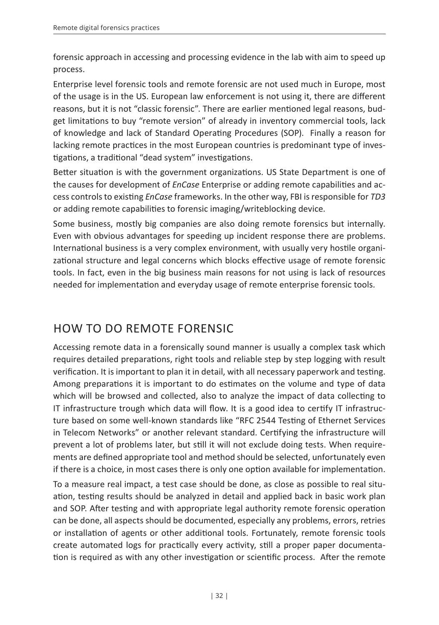forensic approach in accessing and processing evidence in the lab with aim to speed up process.

Enterprise level forensic tools and remote forensic are not used much in Europe, most of the usage is in the US. European law enforcement is not using it, there are different reasons, but it is not "classic forensic". There are earlier mentioned legal reasons, budget limitations to buy "remote version" of already in inventory commercial tools, lack of knowledge and lack of Standard Operating Procedures (SOP). Finally a reason for lacking remote practices in the most European countries is predominant type of investigations, a traditional "dead system" investigations.

Better situation is with the government organizations. US State Department is one of the causes for development of *EnCase* Enterprise or adding remote capabilities and access controls to existing *EnCase* frameworks. In the other way, FBI is responsible for *TD3* or adding remote capabilities to forensic imaging/writeblocking device.

Some business, mostly big companies are also doing remote forensics but internally. Even with obvious advantages for speeding up incident response there are problems. International business is a very complex environment, with usually very hostile organizational structure and legal concerns which blocks effective usage of remote forensic tools. In fact, even in the big business main reasons for not using is lack of resources needed for implementation and everyday usage of remote enterprise forensic tools.

# HOW TO DO REMOTE FORENSIC

Accessing remote data in a forensically sound manner is usually a complex task which requires detailed preparations, right tools and reliable step by step logging with result verification. It is important to plan it in detail, with all necessary paperwork and testing. Among preparations it is important to do estimates on the volume and type of data which will be browsed and collected, also to analyze the impact of data collecting to IT infrastructure trough which data will flow. It is a good idea to certify IT infrastructure based on some well-known standards like "RFC 2544 Testing of Ethernet Services in Telecom Networks" or another relevant standard. Certifying the infrastructure will prevent a lot of problems later, but still it will not exclude doing tests. When requirements are defined appropriate tool and method should be selected, unfortunately even if there is a choice, in most cases there is only one option available for implementation.

To a measure real impact, a test case should be done, as close as possible to real situation, testing results should be analyzed in detail and applied back in basic work plan and SOP. After testing and with appropriate legal authority remote forensic operation can be done, all aspects should be documented, especially any problems, errors, retries or installation of agents or other additional tools. Fortunately, remote forensic tools create automated logs for practically every activity, still a proper paper documentation is required as with any other investigation or scientific process. After the remote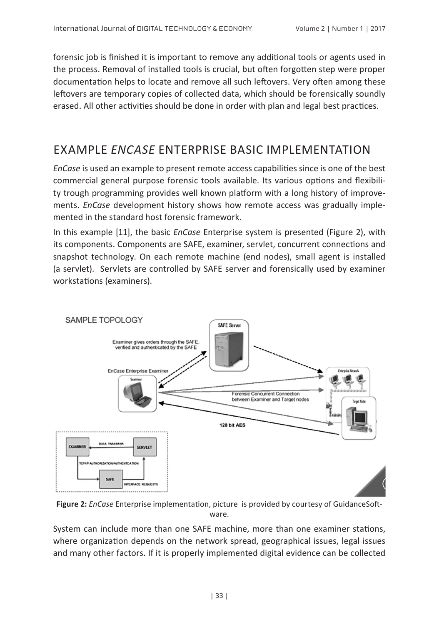forensic job is finished it is important to remove any additional tools or agents used in the process. Removal of installed tools is crucial, but often forgotten step were proper documentation helps to locate and remove all such leftovers. Very often among these leftovers are temporary copies of collected data, which should be forensically soundly erased. All other activities should be done in order with plan and legal best practices.

#### EXAMPLE *ENCASE* ENTERPRISE BASIC IMPLEMENTATION

*EnCase* is used an example to present remote access capabilities since is one of the best commercial general purpose forensic tools available. Its various options and flexibility trough programming provides well known platform with a long history of improvements. *EnCase* development history shows how remote access was gradually implemented in the standard host forensic framework.

In this example [11], the basic *EnCase* Enterprise system is presented (Figure 2), with its components. Components are SAFE, examiner, servlet, concurrent connections and snapshot technology. On each remote machine (end nodes), small agent is installed (a servlet). Servlets are controlled by SAFE server and forensically used by examiner workstations (examiners).



**Figure 2:** *EnCase* Enterprise implementation, picture is provided by courtesy of GuidanceSoftware.

System can include more than one SAFE machine, more than one examiner stations, where organization depends on the network spread, geographical issues, legal issues and many other factors. If it is properly implemented digital evidence can be collected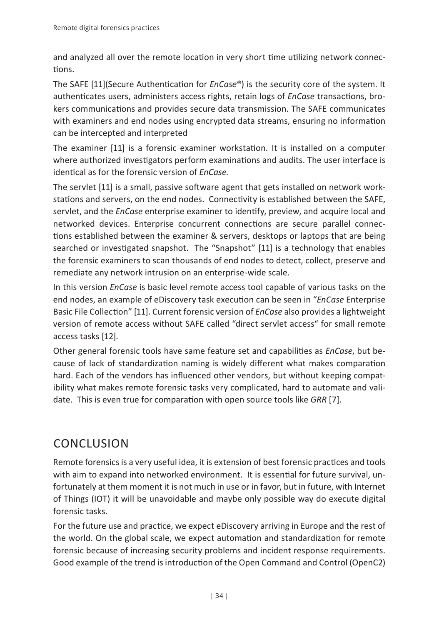and analyzed all over the remote location in very short time utilizing network connections.

The SAFE [11](Secure Authentication for *EnCase*®) is the security core of the system. It authenticates users, administers access rights, retain logs of *EnCase* transactions, brokers communications and provides secure data transmission. The SAFE communicates with examiners and end nodes using encrypted data streams, ensuring no information can be intercepted and interpreted

The examiner [11] is a forensic examiner workstation. It is installed on a computer where authorized investigators perform examinations and audits. The user interface is identical as for the forensic version of *EnCase*.

The servlet [11] is a small, passive software agent that gets installed on network workstations and servers, on the end nodes. Connectivity is established between the SAFE, servlet, and the *EnCase* enterprise examiner to identify, preview, and acquire local and networked devices. Enterprise concurrent connections are secure parallel connections established between the examiner & servers, desktops or laptops that are being searched or investigated snapshot. The "Snapshot" [11] is a technology that enables the forensic examiners to scan thousands of end nodes to detect, collect, preserve and remediate any network intrusion on an enterprise-wide scale.

In this version *EnCase* is basic level remote access tool capable of various tasks on the end nodes, an example of eDiscovery task execution can be seen in "*EnCase* Enterprise Basic File Collection" [11]. Current forensic version of *EnCase* also provides a lightweight version of remote access without SAFE called "direct servlet access" for small remote access tasks [12].

Other general forensic tools have same feature set and capabilities as *EnCase*, but because of lack of standardization naming is widely different what makes comparation hard. Each of the vendors has influenced other vendors, but without keeping compatibility what makes remote forensic tasks very complicated, hard to automate and validate. This is even true for comparation with open source tools like *GRR* [7].

#### CONCLUSION

Remote forensics is a very useful idea, it is extension of best forensic practices and tools with aim to expand into networked environment. It is essential for future survival, unfortunately at them moment it is not much in use or in favor, but in future, with Internet of Things (IOT) it will be unavoidable and maybe only possible way do execute digital forensic tasks.

For the future use and practice, we expect eDiscovery arriving in Europe and the rest of the world. On the global scale, we expect automation and standardization for remote forensic because of increasing security problems and incident response requirements. Good example of the trend is introduction of the Open Command and Control (OpenC2)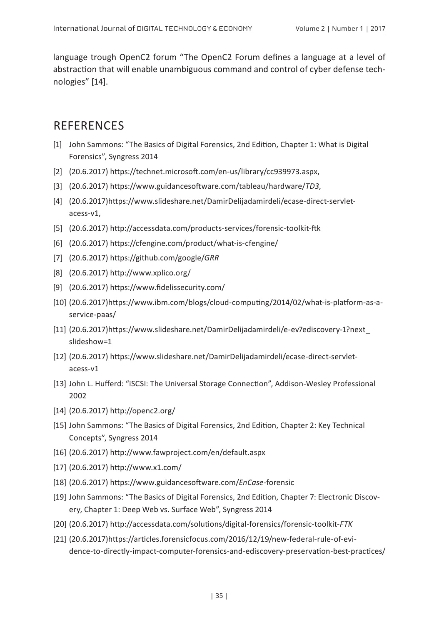language trough OpenC2 forum "The OpenC2 Forum defines a language at a level of abstraction that will enable unambiguous command and control of cyber defense technologies" [14].

#### **REFERENCES**

- [1] John Sammons: "The Basics of Digital Forensics, 2nd Edition, Chapter 1: What is Digital Forensics", Syngress 2014
- [2] (20.6.2017) https://technet.microsoft.com/en-us/library/cc939973.aspx,
- [3] (20.6.2017) https://www.guidancesoftware.com/tableau/hardware/*TD3*,
- [4] (20.6.2017)https://www.slideshare.net/DamirDelijadamirdeli/ecase-direct-servletacess-v1,
- [5] (20.6.2017) http://accessdata.com/products-services/forensic-toolkit-ftk
- [6] (20.6.2017) https://cfengine.com/product/what-is-cfengine/
- [7] (20.6.2017) https://github.com/google/*GRR*
- [8] (20.6.2017) http://www.xplico.org/
- [9] (20.6.2017) https://www.fidelissecurity.com/
- [10] (20.6.2017)https://www.ibm.com/blogs/cloud-computing/2014/02/what-is-platform-as-aservice-paas/
- [11] (20.6.2017)https://www.slideshare.net/DamirDelijadamirdeli/e-ev7ediscovery-1?next\_ slideshow=1
- [12] (20.6.2017) https://www.slideshare.net/DamirDelijadamirdeli/ecase-direct-servletacess-v1
- [13] John L. Hufferd: "iSCSI: The Universal Storage Connection", Addison-Wesley Professional 2002
- [14] (20.6.2017) http://openc2.org/
- [15] John Sammons: "The Basics of Digital Forensics, 2nd Edition, Chapter 2: Key Technical Concepts", Syngress 2014
- [16] (20.6.2017) http://www.fawproject.com/en/default.aspx
- [17] (20.6.2017) http://www.x1.com/
- [18] (20.6.2017) https://www.guidancesoftware.com/*EnCase*-forensic
- [19] John Sammons: "The Basics of Digital Forensics, 2nd Edition, Chapter 7: Electronic Discovery, Chapter 1: Deep Web vs. Surface Web", Syngress 2014
- [20] (20.6.2017) http://accessdata.com/solutions/digital-forensics/forensic-toolkit-*FTK*
- [21] (20.6.2017)https://articles.forensicfocus.com/2016/12/19/new-federal-rule-of-evidence-to-directly-impact-computer-forensics-and-ediscovery-preservation-best-practices/